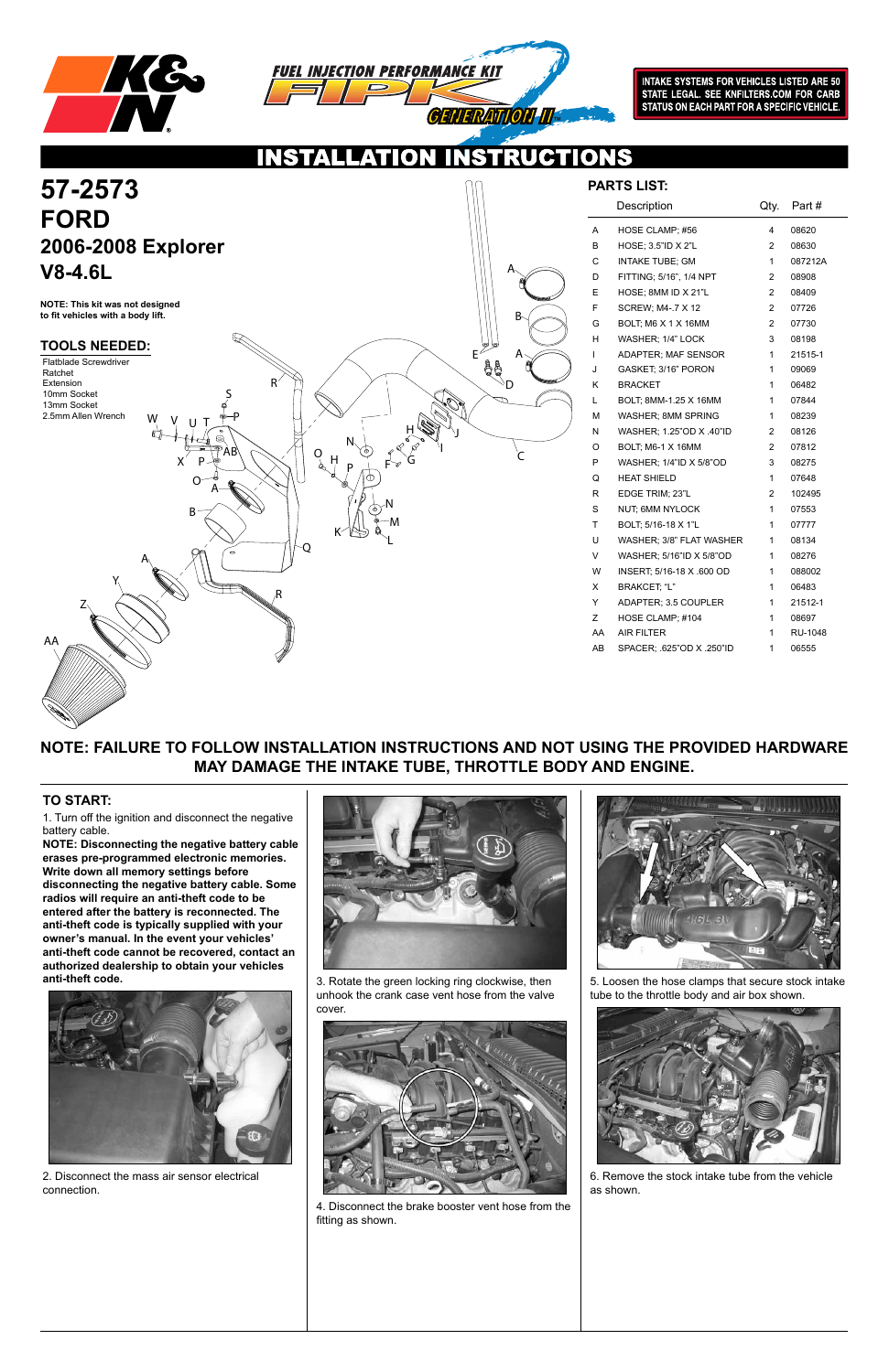



INTAKE SYSTEMS FOR VEHICLES LISTED ARE 50<br>STATE LEGAL. SEE KNFILTERS.COM FOR CARB STATUS ON EACH PART FOR A SPECIFIC VEHICLE.

NS

 $\bullet$ 

**NOTE: FAILURE TO FOLLOW INSTALLATION INSTRUCTIONS AND NOT USING THE PROVIDED HARDWARE MAY DAMAGE THE INTAKE TUBE, THROTTLE BODY AND ENGINE.**

1. Turn off the ignition and disconnect the negative battery cable.

**NOTE: Disconnecting the negative battery cable erases pre-programmed electronic memories. Write down all memory settings before disconnecting the negative battery cable. Some radios will require an anti-theft code to be entered after the battery is reconnected. The anti-theft code is typically supplied with your owner's manual. In the event your vehicles' anti-theft code cannot be recovered, contact an authorized dealership to obtain your vehicles anti-theft code.**



### **TO START:**



|    | Description                | Qty.           | Part #  |
|----|----------------------------|----------------|---------|
| А  | HOSE CLAMP; #56            | 4              | 08620   |
| в  | HOSE; 3.5"ID X 2"L         | 2              | 08630   |
| С  | <b>INTAKE TUBE: GM</b>     | 1              | 087212A |
| D  | FITTING; 5/16", 1/4 NPT    | 2              | 08908   |
| E  | HOSE; 8MM ID X 21"L        | $\overline{2}$ | 08409   |
| F  | <b>SCREW; M4-.7 X 12</b>   | $\overline{2}$ | 07726   |
| G  | BOLT; M6 X 1 X 16MM        | 2              | 07730   |
| н  | WASHER; 1/4" LOCK          | 3              | 08198   |
| L  | <b>ADAPTER: MAF SENSOR</b> | 1              | 21515-1 |
| J  | GASKET: 3/16" PORON        | 1              | 09069   |
| Κ  | <b>BRACKET</b>             | 1              | 06482   |
| L  | BOLT, 8MM-1.25 X 16MM      | 1              | 07844   |
| м  | WASHER; 8MM SPRING         | 1              | 08239   |
| N  | WASHER, 1.25"OD X .40"ID   | 2              | 08126   |
| O  | BOLT; M6-1 X 16MM          | 2              | 07812   |
| P  | WASHER; 1/4"ID X 5/8"OD    | 3              | 08275   |
| Q  | <b>HEAT SHIELD</b>         | 1              | 07648   |
| R  | EDGE TRIM; 23"L            | 2              | 102495  |
| S  | <b>NUT: 6MM NYLOCK</b>     | 1              | 07553   |
| T  | BOLT; 5/16-18 X 1"L        | 1              | 07777   |
| U  | WASHER; 3/8" FLAT WASHER   | 1              | 08134   |
| V  | WASHER; 5/16"ID X 5/8"OD   | 1              | 08276   |
| W  | INSERT: 5/16-18 X .600 OD  | 1              | 088002  |
| Χ  | BRAKCET, "L"               | 1              | 06483   |
| Y  | ADAPTER; 3.5 COUPLER       | 1              | 21512-1 |
| Z  | HOSE CLAMP; #104           | 1              | 08697   |
| AA | <b>AIR FILTER</b>          | 1              | RU-1048 |
| AB | SPACER; .625"OD X .250"ID  | 1              | 06555   |

2. Disconnect the mass air sensor electrical connection.





3. Rotate the green locking ring clockwise, then unhook the crank case vent hose from the valve cover.

4. Disconnect the brake booster vent hose from the fitting as shown.





5. Loosen the hose clamps that secure stock intake tube to the throttle body and air box shown.

6. Remove the stock intake tube from the vehicle as shown.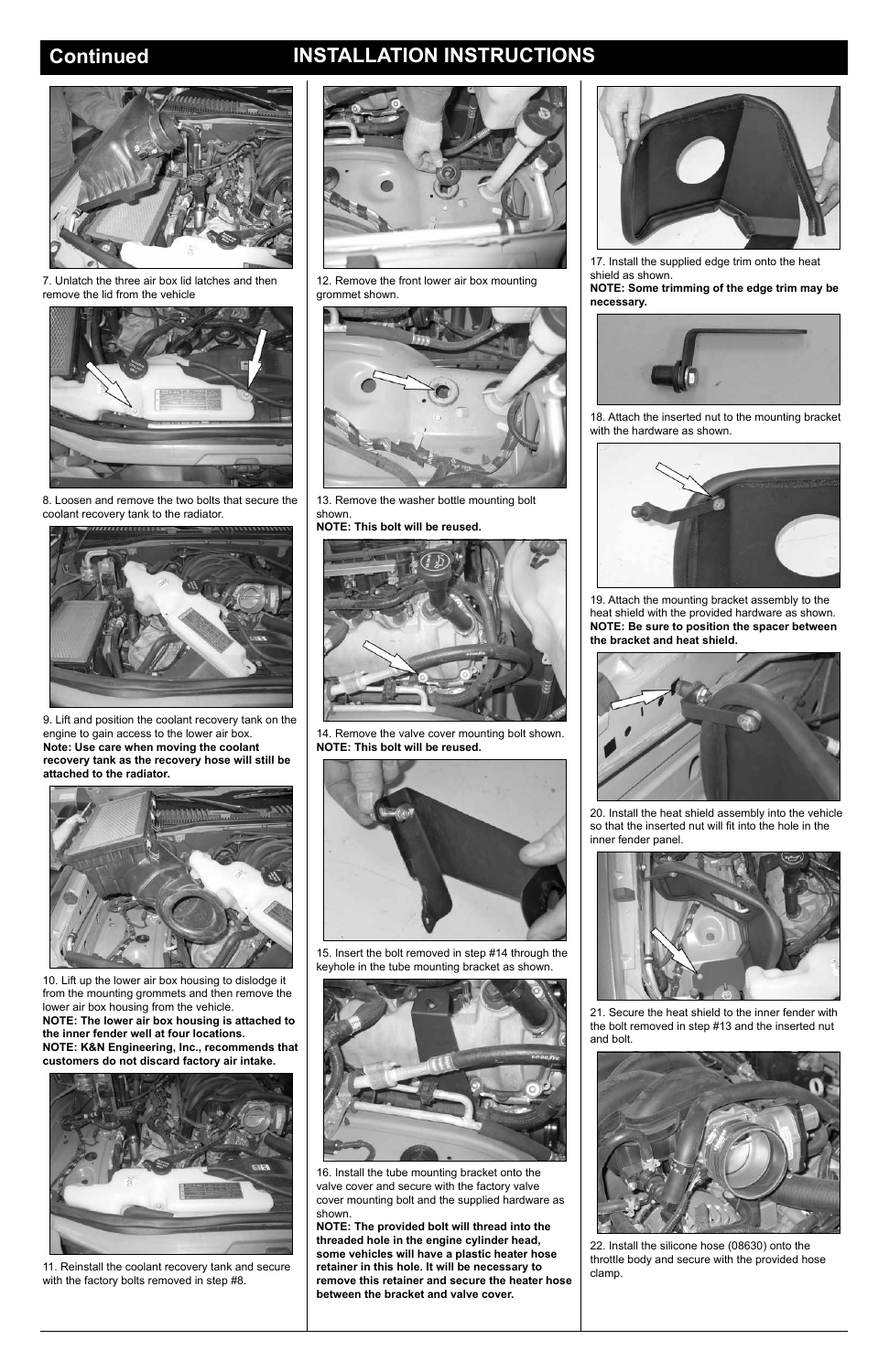# **Continued INSTALLATION INSTRUCTIONS**



7. Unlatch the three air box lid latches and then remove the lid from the vehicle



8. Loosen and remove the two bolts that secure the coolant recovery tank to the radiator.



9. Lift and position the coolant recovery tank on the engine to gain access to the lower air box. **Note: Use care when moving the coolant recovery tank as the recovery hose will still be attached to the radiator.**



10. Lift up the lower air box housing to dislodge it from the mounting grommets and then remove the lower air box housing from the vehicle.

**NOTE: The lower air box housing is attached to the inner fender well at four locations. NOTE: K&N Engineering, Inc., recommends that customers do not discard factory air intake.**



11. Reinstall the coolant recovery tank and secure with the factory bolts removed in step #8.



12. Remove the front lower air box mounting grommet shown.



13. Remove the washer bottle mounting bolt shown.

**NOTE: This bolt will be reused.**



14. Remove the valve cover mounting bolt shown. **NOTE: This bolt will be reused.**



15. Insert the bolt removed in step #14 through the keyhole in the tube mounting bracket as shown.





16. Install the tube mounting bracket onto the valve cover and secure with the factory valve cover mounting bolt and the supplied hardware as shown.

**NOTE: The provided bolt will thread into the threaded hole in the engine cylinder head, some vehicles will have a plastic heater hose retainer in this hole. It will be necessary to remove this retainer and secure the heater hose between the bracket and valve cover.**

17. Install the supplied edge trim onto the heat shield as shown.

**NOTE: Some trimming of the edge trim may be necessary.**



18. Attach the inserted nut to the mounting bracket with the hardware as shown.



19. Attach the mounting bracket assembly to the heat shield with the provided hardware as shown. **NOTE: Be sure to position the spacer between the bracket and heat shield.**



20. Install the heat shield assembly into the vehicle so that the inserted nut will fit into the hole in the inner fender panel.



21. Secure the heat shield to the inner fender with the bolt removed in step #13 and the inserted nut and bolt.



22. Install the silicone hose (08630) onto the throttle body and secure with the provided hose clamp.